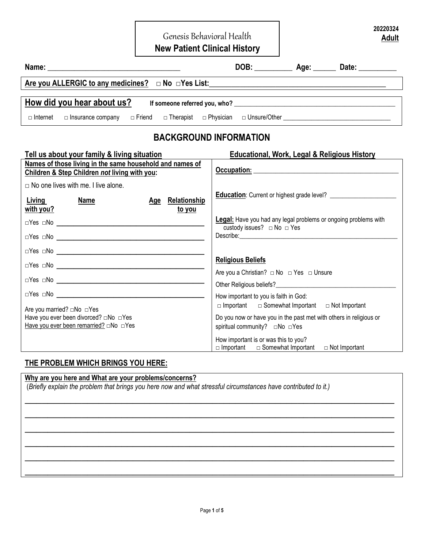Genesis Behavioral Health

**20220324 Adult** 

**New Patient Clinical History** 

|                                                                                                           |                                                                                                         |                                                                                                                |  | DOB: ________________ Age: _________ Date: ____________ |  |  |  |  |  |
|-----------------------------------------------------------------------------------------------------------|---------------------------------------------------------------------------------------------------------|----------------------------------------------------------------------------------------------------------------|--|---------------------------------------------------------|--|--|--|--|--|
|                                                                                                           |                                                                                                         |                                                                                                                |  |                                                         |  |  |  |  |  |
|                                                                                                           | How did you hear about us?                                                                              |                                                                                                                |  |                                                         |  |  |  |  |  |
| □ Internet                                                                                                | □ Insurance company □ Friend □ Therapist □ Physician □ Unsure/Other _______________________________     |                                                                                                                |  |                                                         |  |  |  |  |  |
|                                                                                                           | <b>BACKGROUND INFORMATION</b>                                                                           |                                                                                                                |  |                                                         |  |  |  |  |  |
|                                                                                                           | Tell us about your family & living situation<br><b>Educational, Work, Legal &amp; Religious History</b> |                                                                                                                |  |                                                         |  |  |  |  |  |
| Names of those living in the same household and names of<br>Children & Step Children not living with you: |                                                                                                         |                                                                                                                |  |                                                         |  |  |  |  |  |
| $\Box$ No one lives with me. I live alone.<br>Living<br><b>Name</b><br>with you?                          | Age Relationship                                                                                        |                                                                                                                |  | <b>Education:</b> Current or highest grade level?       |  |  |  |  |  |
|                                                                                                           | to you                                                                                                  | <b>Legal:</b> Have you had any legal problems or ongoing problems with<br>custody issues? $\Box$ No $\Box$ Yes |  |                                                         |  |  |  |  |  |
|                                                                                                           |                                                                                                         | <b>Religious Beliefs</b>                                                                                       |  |                                                         |  |  |  |  |  |
|                                                                                                           |                                                                                                         | Are you a Christian? □ No □ Yes □ Unsure                                                                       |  |                                                         |  |  |  |  |  |
|                                                                                                           |                                                                                                         | How important to you is faith in God:<br>$\Box$ Important $\Box$ Somewhat Important $\Box$ Not Important       |  |                                                         |  |  |  |  |  |
| Are you married? □No □Yes<br>Have you ever been divorced? □No □Yes                                        |                                                                                                         | Do you now or have you in the past met with others in religious or<br>spiritual community? □No □Yes            |  |                                                         |  |  |  |  |  |
|                                                                                                           |                                                                                                         | How important is or was this to you?<br>$\Box$ Important $\Box$ Somewhat Important                             |  | $\Box$ Not Important                                    |  |  |  |  |  |

### **THE PROBLEM WHICH BRINGS YOU HERE:**

#### **Why are you here and What are your problems/concerns?**

(*Briefly explain the problem that brings you here now and what stressful circumstances have contributed to it.)* 

 $\overline{\phantom{a}}$  , and the contract of the contract of the contract of the contract of the contract of the contract of the contract of the contract of the contract of the contract of the contract of the contract of the contrac

 $\overline{\phantom{a}}$  , and the contract of the contract of the contract of the contract of the contract of the contract of the contract of the contract of the contract of the contract of the contract of the contract of the contrac

 $\overline{\phantom{a}}$  , and the contract of the contract of the contract of the contract of the contract of the contract of the contract of the contract of the contract of the contract of the contract of the contract of the contrac

 $\overline{\phantom{a}}$  , and the contract of the contract of the contract of the contract of the contract of the contract of the contract of the contract of the contract of the contract of the contract of the contract of the contrac

 $\overline{\phantom{a}}$  , and the contribution of the contribution of the contribution of the contribution of the contribution of the contribution of the contribution of the contribution of the contribution of the contribution of the

 $\overline{\phantom{a}}$  , and the contribution of the contribution of the contribution of the contribution of the contribution of the contribution of the contribution of the contribution of the contribution of the contribution of the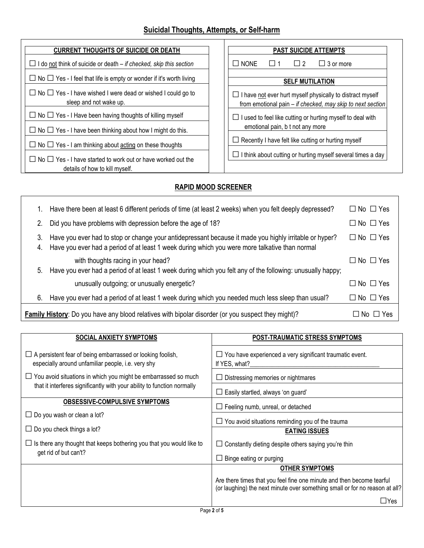# **Suicidal Thoughts, Attempts, or Self-harm**

| <b>CURRENT THOUGHTS OF SUICIDE OR DEATH</b>                                                                | <b>PAST SUICIDE ATTEMPTS</b>                                                                                                     |  |  |  |
|------------------------------------------------------------------------------------------------------------|----------------------------------------------------------------------------------------------------------------------------------|--|--|--|
| I do not think of suicide or death – if checked, skip this section                                         | $\Box$ NONE<br>$\Box$ 2<br>$\Box$ 3 or more                                                                                      |  |  |  |
| $\Box$ No $\Box$ Yes - I feel that life is empty or wonder if it's worth living                            | <b>SELF MUTILATION</b>                                                                                                           |  |  |  |
| $\Box$ No $\Box$ Yes - I have wished I were dead or wished I could go to<br>sleep and not wake up.         | $\Box$ I have not ever hurt myself physically to distract myself<br>from emotional pain $-$ if checked, may skip to next section |  |  |  |
| $\Box$ No $\Box$ Yes - I Have been having thoughts of killing myself                                       | I used to feel like cutting or hurting myself to deal with                                                                       |  |  |  |
| $\Box$ No $\Box$ Yes - I have been thinking about how I might do this.                                     | emotional pain, b t not any more                                                                                                 |  |  |  |
| $\Box$ No $\Box$ Yes - I am thinking about acting on these thoughts                                        | Recently I have felt like cutting or hurting myself                                                                              |  |  |  |
| $\Box$ No $\Box$ Yes - I have started to work out or have worked out the<br>details of how to kill myself. | I think about cutting or hurting myself several times a day                                                                      |  |  |  |

## **RAPID MOOD SCREENER**

- 1

|                                                                                                                            | Have there been at least 6 different periods of time (at least 2 weeks) when you felt deeply depressed?                                                                                                  | $\Box$ No $\Box$ Yes |  |  |  |
|----------------------------------------------------------------------------------------------------------------------------|----------------------------------------------------------------------------------------------------------------------------------------------------------------------------------------------------------|----------------------|--|--|--|
| 2.                                                                                                                         | Did you have problems with depression before the age of 18?                                                                                                                                              | $\Box$ No $\Box$ Yes |  |  |  |
| 3.<br>4.                                                                                                                   | Have you ever had to stop or change your antidepressant because it made you highly irritable or hyper?<br>Have you ever had a period of at least 1 week during which you were more talkative than normal | $\Box$ No $\Box$ Yes |  |  |  |
| 5.                                                                                                                         | with thoughts racing in your head?<br>Have you ever had a period of at least 1 week during which you felt any of the following: unusually happy;                                                         | $\Box$ No $\Box$ Yes |  |  |  |
|                                                                                                                            | unusually outgoing; or unusually energetic?                                                                                                                                                              | $\Box$ No $\Box$ Yes |  |  |  |
| 6.                                                                                                                         | Have you ever had a period of at least 1 week during which you needed much less sleep than usual?                                                                                                        | $\Box$ No $\Box$ Yes |  |  |  |
| Family History: Do you have any blood relatives with bipolar disorder (or you suspect they might)?<br>$\Box$ No $\Box$ Yes |                                                                                                                                                                                                          |                      |  |  |  |

| <b>SOCIAL ANXIETY SYMPTOMS</b>                                                                                          | POST-TRAUMATIC STRESS SYMPTOMS                                                                                                                       |  |  |  |
|-------------------------------------------------------------------------------------------------------------------------|------------------------------------------------------------------------------------------------------------------------------------------------------|--|--|--|
| $\Box$ A persistent fear of being embarrassed or looking foolish,<br>especially around unfamiliar people, i.e. very shy | $\Box$ You have experienced a very significant traumatic event.<br>If YES, what?                                                                     |  |  |  |
| $\Box$ You avoid situations in which you might be embarrassed so much                                                   | $\Box$ Distressing memories or nightmares                                                                                                            |  |  |  |
| that it interferes significantly with your ability to function normally                                                 | $\Box$ Easily startled, always 'on guard'                                                                                                            |  |  |  |
| <b>OBSESSIVE-COMPULSIVE SYMPTOMS</b>                                                                                    | $\Box$ Feeling numb, unreal, or detached                                                                                                             |  |  |  |
| $\Box$ Do you wash or clean a lot?                                                                                      | $\Box$ You avoid situations reminding you of the trauma                                                                                              |  |  |  |
| $\Box$ Do you check things a lot?                                                                                       | <b>EATING ISSUES</b>                                                                                                                                 |  |  |  |
| $\Box$ Is there any thought that keeps bothering you that you would like to                                             | $\Box$ Constantly dieting despite others saying you're thin                                                                                          |  |  |  |
| get rid of but can't?                                                                                                   | $\Box$ Binge eating or purging                                                                                                                       |  |  |  |
|                                                                                                                         | <b>OTHER SYMPTOMS</b>                                                                                                                                |  |  |  |
|                                                                                                                         | Are there times that you feel fine one minute and then become tearful<br>(or laughing) the next minute over something small or for no reason at all? |  |  |  |
|                                                                                                                         | $\Box$ Yes<br>$D = 0$                                                                                                                                |  |  |  |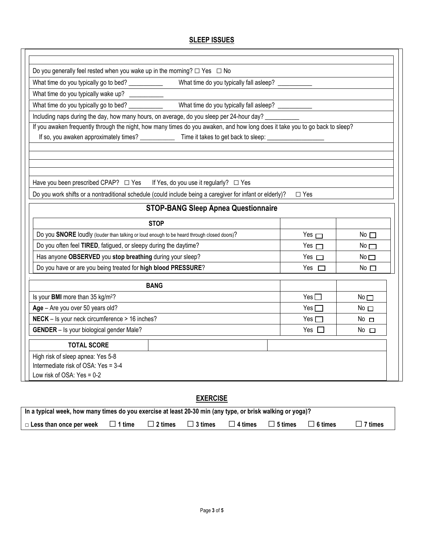## **SLEEP ISSUES**

| Do you generally feel rested when you wake up in the morning? $\Box$ Yes $\Box$ No                                                                                                                            |               |                 |  |  |  |  |  |
|---------------------------------------------------------------------------------------------------------------------------------------------------------------------------------------------------------------|---------------|-----------------|--|--|--|--|--|
|                                                                                                                                                                                                               |               |                 |  |  |  |  |  |
| What time do you typically wake up? __________                                                                                                                                                                |               |                 |  |  |  |  |  |
|                                                                                                                                                                                                               |               |                 |  |  |  |  |  |
| What time do you typically fall asleep? __________<br>What time do you typically go to bed? ___________<br>Including naps during the day, how many hours, on average, do you sleep per 24-hour day? _________ |               |                 |  |  |  |  |  |
| If you awaken frequently through the night, how many times do you awaken, and how long does it take you to go back to sleep?                                                                                  |               |                 |  |  |  |  |  |
| If so, you awaken approximately times? ________________ Time it takes to get back to sleep: __________________                                                                                                |               |                 |  |  |  |  |  |
|                                                                                                                                                                                                               |               |                 |  |  |  |  |  |
|                                                                                                                                                                                                               |               |                 |  |  |  |  |  |
|                                                                                                                                                                                                               |               |                 |  |  |  |  |  |
| Have you been prescribed CPAP? □ Yes If Yes, do you use it regularly? □ Yes                                                                                                                                   |               |                 |  |  |  |  |  |
| Do you work shifts or a nontraditional schedule (could include being a caregiver for infant or elderly)?                                                                                                      | $\square$ Yes |                 |  |  |  |  |  |
| <b>STOP-BANG Sleep Apnea Questionnaire</b>                                                                                                                                                                    |               |                 |  |  |  |  |  |
| <b>STOP</b>                                                                                                                                                                                                   |               |                 |  |  |  |  |  |
| Do you SNORE loudly (louder than talking or loud enough to be heard through closed doors)?                                                                                                                    | Yes $\Box$    | No $\Box$       |  |  |  |  |  |
| Do you often feel TIRED, fatigued, or sleepy during the daytime?                                                                                                                                              | Yes $\Box$    | $No$ $\Box$     |  |  |  |  |  |
| Has anyone OBSERVED you stop breathing during your sleep?                                                                                                                                                     | Yes $\Box$    | No $\square$    |  |  |  |  |  |
| Do you have or are you being treated for high blood PRESSURE?                                                                                                                                                 | Yes $\square$ | No $\square$    |  |  |  |  |  |
| <b>BANG</b>                                                                                                                                                                                                   |               |                 |  |  |  |  |  |
| Is your BMI more than 35 kg/m <sup>2</sup> ?                                                                                                                                                                  | Yes $\Box$    | No <sub>1</sub> |  |  |  |  |  |
| Age - Are you over 50 years old?                                                                                                                                                                              | Yes Γ         | No <sub>1</sub> |  |  |  |  |  |
| NECK - Is your neck circumference > 16 inches?                                                                                                                                                                | Yes $\Box$    | No $\Box$       |  |  |  |  |  |
| <b>GENDER</b> - Is your biological gender Male?                                                                                                                                                               | Yes $\square$ | No $\square$    |  |  |  |  |  |
| <b>TOTAL SCORE</b>                                                                                                                                                                                            |               |                 |  |  |  |  |  |
| High risk of sleep apnea: Yes 5-8                                                                                                                                                                             |               |                 |  |  |  |  |  |
| Intermediate risk of OSA: Yes = 3-4                                                                                                                                                                           |               |                 |  |  |  |  |  |
| Low risk of OSA: Yes = $0-2$                                                                                                                                                                                  |               |                 |  |  |  |  |  |

### **EXERCISE**

| In a typical week, how many times do you exercise at least 20-30 min (any type, or brisk walking or yoga)? |               |                |                |                |                |                |         |  |
|------------------------------------------------------------------------------------------------------------|---------------|----------------|----------------|----------------|----------------|----------------|---------|--|
| $\Box$ Less than once per week                                                                             | $\Box$ 1 time | $\Box$ 2 times | $\Box$ 3 times | $\Box$ 4 times | $\Box$ 5 times | $\Box$ 6 times | 7 times |  |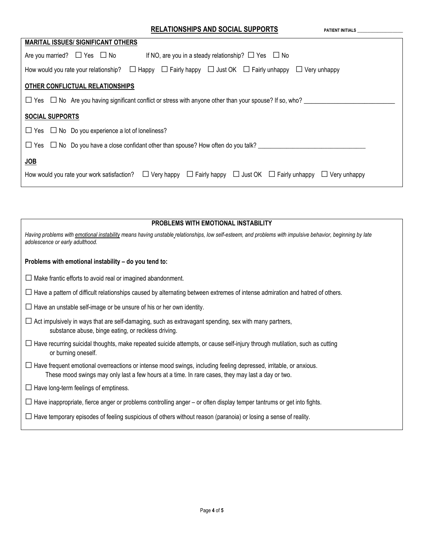| <b>MARITAL ISSUES/ SIGNIFICANT OTHERS</b>                                                                                                                |  |  |  |  |  |  |
|----------------------------------------------------------------------------------------------------------------------------------------------------------|--|--|--|--|--|--|
| If NO, are you in a steady relationship? $\Box$ Yes $\Box$ No<br>Are you married? $\Box$ Yes $\Box$ No                                                   |  |  |  |  |  |  |
| How would you rate your relationship? $\Box$ Happy $\Box$ Fairly happy $\Box$ Just OK $\Box$ Fairly unhappy $\Box$ Very unhappy                          |  |  |  |  |  |  |
| OTHER CONFLICTUAL RELATIONSHIPS                                                                                                                          |  |  |  |  |  |  |
| $\Box$ Yes $\Box$ No Are you having significant conflict or stress with anyone other than your spouse? If so, who?                                       |  |  |  |  |  |  |
| <b>SOCIAL SUPPORTS</b>                                                                                                                                   |  |  |  |  |  |  |
| $\Box$ Yes $\Box$ No Do you experience a lot of loneliness?                                                                                              |  |  |  |  |  |  |
| $\Box$ Yes $\Box$ No Do you have a close confidant other than spouse? How often do you talk?                                                             |  |  |  |  |  |  |
| <b>JOB</b>                                                                                                                                               |  |  |  |  |  |  |
| How would you rate your work satisfaction? $\square$ Very happy $\square$ Fairly happy $\square$ Just OK $\square$ Fairly unhappy $\square$ Very unhappy |  |  |  |  |  |  |

| <b>PROBLEMS WITH EMOTIONAL INSTABILITY</b>                                                                                                                                                                                    |  |  |  |  |  |
|-------------------------------------------------------------------------------------------------------------------------------------------------------------------------------------------------------------------------------|--|--|--|--|--|
| Having problems with emotional instability means having unstable relationships, low self-esteem, and problems with impulsive behavior, beginning by late<br>adolescence or early adulthood.                                   |  |  |  |  |  |
| Problems with emotional instability - do you tend to:                                                                                                                                                                         |  |  |  |  |  |
| $\Box$ Make frantic efforts to avoid real or imagined abandonment.                                                                                                                                                            |  |  |  |  |  |
| $\Box$ Have a pattern of difficult relationships caused by alternating between extremes of intense admiration and hatred of others.                                                                                           |  |  |  |  |  |
| $\Box$ Have an unstable self-image or be unsure of his or her own identity.                                                                                                                                                   |  |  |  |  |  |
| $\Box$ Act impulsively in ways that are self-damaging, such as extravagant spending, sex with many partners,<br>substance abuse, binge eating, or reckless driving.                                                           |  |  |  |  |  |
| $\Box$ Have recurring suicidal thoughts, make repeated suicide attempts, or cause self-injury through mutilation, such as cutting<br>or burning oneself.                                                                      |  |  |  |  |  |
| $\Box$ Have frequent emotional overreactions or intense mood swings, including feeling depressed, irritable, or anxious.<br>These mood swings may only last a few hours at a time. In rare cases, they may last a day or two. |  |  |  |  |  |
| $\Box$ Have long-term feelings of emptiness.                                                                                                                                                                                  |  |  |  |  |  |
| $\Box$ Have inappropriate, fierce anger or problems controlling anger – or often display temper tantrums or get into fights.                                                                                                  |  |  |  |  |  |
| $\Box$ Have temporary episodes of feeling suspicious of others without reason (paranoia) or losing a sense of reality.                                                                                                        |  |  |  |  |  |